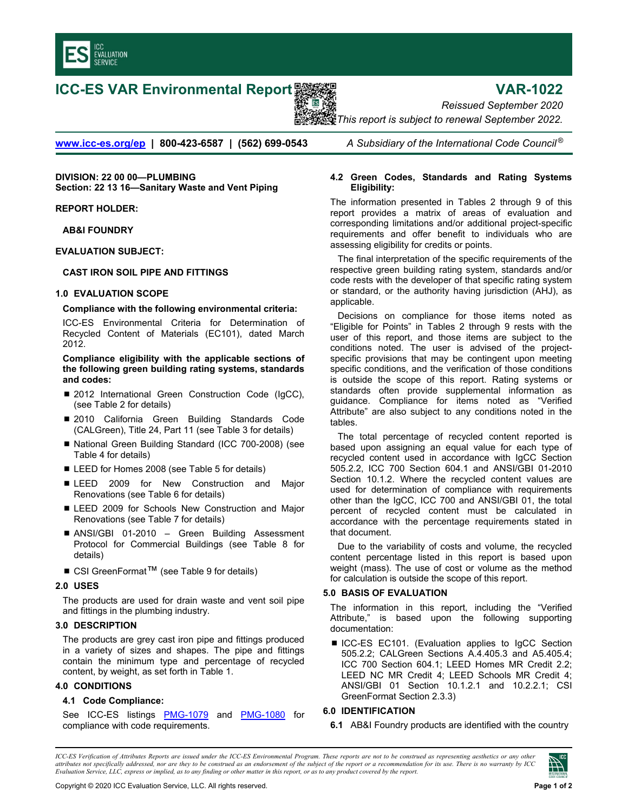

# **ICC-ES VAR Environmental Report メントリング Service State State VAR-1022**



*Reissued September 2020 This report is subject to renewal September 2022.* 

**[www.icc-es.org/ep](http://www.icc-es.org/ep) | 800-423-6587 | (562) 699-0543** *A Subsidiary of the International Code Council ®*

**DIVISION: 22 00 00—PLUMBING Section: 22 13 16—Sanitary Waste and Vent Piping**

**REPORT HOLDER:** 

**AB&I FOUNDRY** 

**EVALUATION SUBJECT:** 

#### **CAST IRON SOIL PIPE AND FITTINGS**

## **1.0 EVALUATION SCOPE**

#### **Compliance with the following environmental criteria:**

ICC-ES Environmental Criteria for Determination of Recycled Content of Materials (EC101), dated March 2012.

**Compliance eligibility with the applicable sections of the following green building rating systems, standards and codes:** 

- 2012 International Green Construction Code (IgCC), (see Table 2 for details)
- 2010 California Green Building Standards Code (CALGreen), Title 24, Part 11 (see Table 3 for details)
- National Green Building Standard (ICC 700-2008) (see Table 4 for details)
- LEED for Homes 2008 (see Table 5 for details)
- **ELEED 2009 for New Construction and Major** Renovations (see Table 6 for details)
- **EXTEED 2009 for Schools New Construction and Major** Renovations (see Table 7 for details)
- ANSI/GBI 01-2010 Green Building Assessment Protocol for Commercial Buildings (see Table 8 for details)
- CSI GreenFormat<sup>TM</sup> (see Table 9 for details)

# **2.0 USES**

The products are used for drain waste and vent soil pipe and fittings in the plumbing industry.

# **3.0 DESCRIPTION**

The products are grey cast iron pipe and fittings produced in a variety of sizes and shapes. The pipe and fittings contain the minimum type and percentage of recycled content, by weight, as set forth in Table 1.

#### **4.0 CONDITIONS**

# **4.1 Code Compliance:**

See ICC-ES listings [PMG-1079](http://www.icc-es-pmg.org/Listing_Directory/pdf/PMG-1079.pdf) and [PMG-1080](http://www.icc-es-pmg.org/Listing_Directory/pdf/PMG-1080.pdf) for compliance with code requirements.

## **4.2 Green Codes, Standards and Rating Systems Eligibility:**

The information presented in Tables 2 through 9 of this report provides a matrix of areas of evaluation and corresponding limitations and/or additional project-specific requirements and offer benefit to individuals who are assessing eligibility for credits or points.

The final interpretation of the specific requirements of the respective green building rating system, standards and/or code rests with the developer of that specific rating system or standard, or the authority having jurisdiction (AHJ), as applicable.

Decisions on compliance for those items noted as "Eligible for Points" in Tables 2 through 9 rests with the user of this report, and those items are subject to the conditions noted. The user is advised of the projectspecific provisions that may be contingent upon meeting specific conditions, and the verification of those conditions is outside the scope of this report. Rating systems or standards often provide supplemental information as guidance. Compliance for items noted as "Verified Attribute" are also subject to any conditions noted in the tables.

The total percentage of recycled content reported is based upon assigning an equal value for each type of recycled content used in accordance with IgCC Section 505.2.2, ICC 700 Section 604.1 and ANSI/GBI 01-2010 Section 10.1.2. Where the recycled content values are used for determination of compliance with requirements other than the IgCC, ICC 700 and ANSI/GBI 01, the total percent of recycled content must be calculated in accordance with the percentage requirements stated in that document.

Due to the variability of costs and volume, the recycled content percentage listed in this report is based upon weight (mass). The use of cost or volume as the method for calculation is outside the scope of this report.

# **5.0 BASIS OF EVALUATION**

The information in this report, including the "Verified Attribute," is based upon the following supporting documentation:

■ ICC-ES EC101. (Evaluation applies to IgCC Section 505.2.2; CALGreen Sections A.4.405.3 and A5.405.4; ICC 700 Section 604.1; LEED Homes MR Credit 2.2; LEED NC MR Credit 4; LEED Schools MR Credit 4; ANSI/GBI 01 Section 10.1.2.1 and 10.2.2.1; CSI GreenFormat Section 2.3.3)

# **6.0 IDENTIFICATION**

**6.1** AB&I Foundry products are identified with the country

*ICC-ES Verification of Attributes Reports are issued under the ICC-ES Environmental Program. These reports are not to be construed as representing aesthetics or any other attributes not specifically addressed, nor are they to be construed as an endorsement of the subject of the report or a recommendation for its use. There is no warranty by ICC Evaluation Service, LLC, express or implied, as to any finding or other matter in this report, or as to any product covered by the report.*